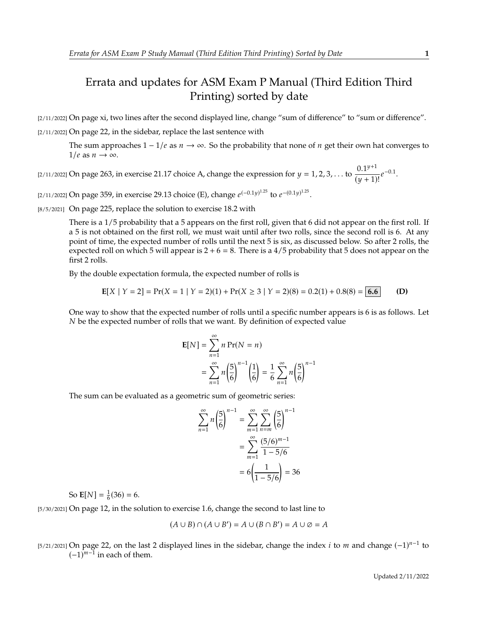## Errata and updates for ASM Exam P Manual (Third Edition Third Printing) sorted by date

[2/11/2022] On page xi, two lines after the second displayed line, change "sum of difference" to "sum or difference". [2/11/2022] On page 22, in the sidebar, replace the last sentence with

The sum approaches  $1 - 1/e$  as  $n \to \infty$ . So the probability that none of *n* get their own hat converges to  $1/e$  as  $n \to \infty$ .

[2/11/2022] On page 263, in exercise 21.17 choice A, change the expression for  $y = 1, 2, 3, ...$  to  $\frac{0.1^{y+1}}{(y+1)}$  $\frac{0.1^{y}}{(y+1)!}e^{-0.1}.$ 

[2/11/2022] On page 359, in exercise 29.13 choice (E), change  $e^{(-0.1y)^{1.25}}$  to  $e^{-(0.1y)^{1.25}}$ .

[8/5/2021] On page 225, replace the solution to exercise 18.2 with

There is a 1/5 probability that a 5 appears on the first roll, given that 6 did not appear on the first roll. If a 5 is not obtained on the first roll, we must wait until after two rolls, since the second roll is 6. At any point of time, the expected number of rolls until the next 5 is six, as discussed below. So after 2 rolls, the expected roll on which 5 will appear is  $2 + 6 = 8$ . There is a 4/5 probability that 5 does not appear on the first 2 rolls.

By the double expectation formula, the expected number of rolls is

$$
E[X \mid Y = 2] = Pr(X = 1 \mid Y = 2)(1) + Pr(X \ge 3 \mid Y = 2)(8) = 0.2(1) + 0.8(8) = 6.6
$$
 (D)

One way to show that the expected number of rolls until a specific number appears is 6 is as follows. Let  $N$  be the expected number of rolls that we want. By definition of expected value

$$
E[N] = \sum_{n=1}^{\infty} n Pr(N = n)
$$
  
= 
$$
\sum_{n=1}^{\infty} n \left(\frac{5}{6}\right)^{n-1} \left(\frac{1}{6}\right) = \frac{1}{6} \sum_{n=1}^{\infty} n \left(\frac{5}{6}\right)^{n-1}
$$

The sum can be evaluated as a geometric sum of geometric series:

$$
\sum_{n=1}^{\infty} n \left(\frac{5}{6}\right)^{n-1} = \sum_{m=1}^{\infty} \sum_{n=m}^{\infty} \left(\frac{5}{6}\right)^{n-1}
$$

$$
= \sum_{m=1}^{\infty} \frac{(5/6)^{m-1}}{1-5/6}
$$

$$
= 6\left(\frac{1}{1-5/6}\right) = 36
$$

So  $\mathbf{E}[N] = \frac{1}{6}(36) = 6.$ 

[5/30/2021] On page 12, in the solution to exercise 1.6, change the second to last line to

$$
(A \cup B) \cap (A \cup B') = A \cup (B \cap B') = A \cup \emptyset = A
$$

[5/21/2021] On page 22, on the last 2 displayed lines in the sidebar, change the index *i* to *m* and change  $(-1)^{n-1}$  to  $(-1)^{n-1}$  in each of them  $(-1)^{m-1}$  in each of them.